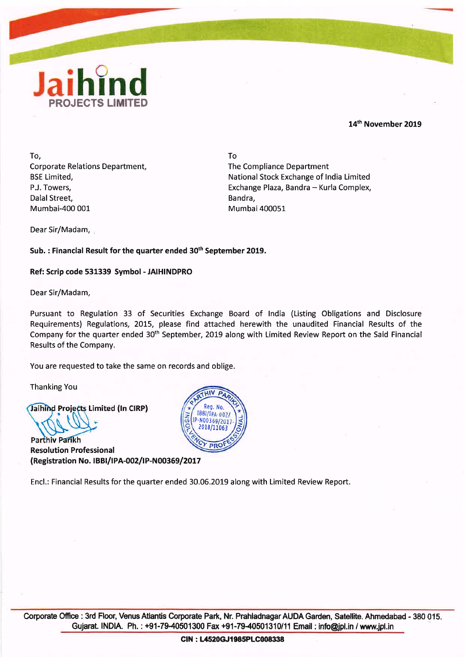

## **14'~** November **2019**

To, Corporate Relations Department, BSE Limited, P.J. Towers, Dalal Street, Mumbai-400 001

To The Compliance Department National Stock Exchange of lndia Limited Exchange Plaza, Bandra - Kurla Complex, Bandra. Mumbai 400051

Dear Sir/Madam,

Sub. : Financial Result for the quarter ended **3oth** September **2019.** 

Ref: Scrip code 531339 Symbol - JAIHINDPRO

Dear Sir/Madam,

Pursuant to Regulation 33 of Securities Exchange Board of lndia (Listing Obligations and Disclosure Requirements) Regulations, 2015, please find attached herewith the unaudited Financial Results of the Company for the quarter ended 30<sup>th</sup> September, 2019 along with Limited Review Report on the Said Financial Results of the Company.

You are requested to take the same on records and oblige.

Thanking You

Jaihind Projects Limited (In CIRP)

**Parthiv Parikh** Resolution Professional (Registration No. **IBBI/IPA-002/1P-N00369/2017** 



Encl.: Financial Results for the quarter ended 30.06.2019 along with Limited Review Report.

 $\overline{O}$ Corporate Office : 3rd Floor, Venus Atlantis Corporate Park, Nr. Prahladnagar AUDA Garden, Satellite. Ahmedabad - 380 015.<br>**Gujarat. INDIA.** Ph. : +91-79-40501300 Fax +91-79-40501310/11 Email : info@jpl.in / www.jpl.in Gujarat. INDIA. Ph.: +91-79-40501300 Fax +91-79-40501310/11 Email: info@jpl.in / www.jpl.in<br>CIN: L4520GJ1985PLC008338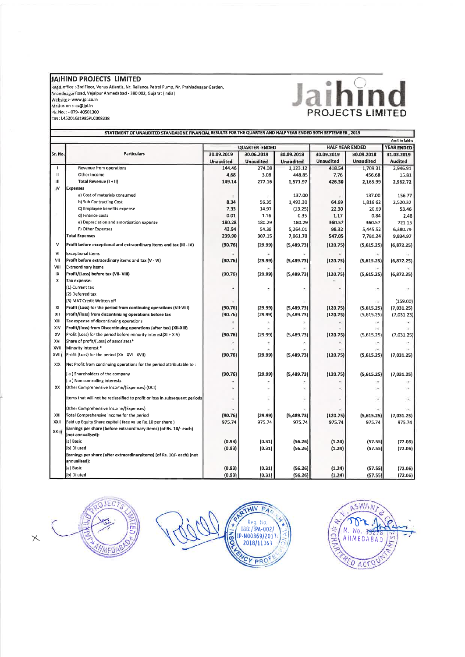## **JAIHIND PROJECTS LIMITED**

Regd. office :-3rd Floor, Venus Atlantis, Nr. Reliance Petrol Pump, Nr. Prahladnagar Garden,<br>Anandnagar Road, Vejalpur Ahmedabad - 380 002, Gujarat (India)<br>Website :- www.jpl.co.in<br>Walsite :- www.jpl.co.in<br>Ph. No. : - 079-CIN : L45201GJ1985PLC008338

# **Jaihind**

|               | STATEMENT OF UNAUDITED STANDALONE FINANCIAL RESULTS FOR THE QUARTER AND HALF YEAR ENDED 30TH SEPTEMBER , 2019 |                      |                  |                  |                        |                          |                   |  |
|---------------|---------------------------------------------------------------------------------------------------------------|----------------------|------------------|------------------|------------------------|--------------------------|-------------------|--|
| Amt in lakhs  |                                                                                                               |                      |                  |                  |                        |                          |                   |  |
|               | <b>Particulars</b>                                                                                            | <b>QUARTER ENDED</b> |                  |                  | <b>HALF YEAR ENDED</b> |                          | <b>YEAR ENDED</b> |  |
| Sr. No.       |                                                                                                               | 30.09.2019           | 30.06.2019       | 30.09.2018       | 30.09.2019             | 30.09.2018               | 31.03.2019        |  |
|               |                                                                                                               | <b>Unaudited</b>     | <b>Unaudited</b> | <b>Unaudited</b> | <b>Unaudited</b>       | <b>Unaudited</b>         | Audited           |  |
| $\mathbf{I}$  | Revenue from operations                                                                                       | 144.46               | 274.08           | 1,123.12         | 418.54                 | 1,709.31                 | 2,946.91          |  |
| $\mathbf{II}$ | Other Income                                                                                                  | 4.68                 | 3.08             | 448.85           | 7.76                   | 456.68                   | 15.81             |  |
| Ш             | Total Revenue (I + II)                                                                                        | 149.14               | 277.16           | 1,571.97         | 426.30                 | 2,165.99                 | 2,962.72          |  |
| IV            | <b>Expenses</b>                                                                                               |                      |                  |                  |                        |                          |                   |  |
|               | a) Cost of materials consumed                                                                                 |                      |                  | 137.00           |                        | 137.00                   | 156.77            |  |
|               | b) Sub Contracting Cost                                                                                       | 8.34                 | 56.35            | 1,493.30         | 64.69                  | 1,816.62                 | 2,520.32          |  |
|               | C) Employee benefits expense                                                                                  | 7.33                 | 14.97            | (13.25)          | 22.30                  | 20.69                    | 53.46             |  |
|               | d) Finance costs                                                                                              | 0.01                 | 1.16             | 0.35             | 1.17                   | 0.84                     | 2.48              |  |
|               | e) Depreciation and amortisation expense                                                                      | 180.28               | 180.29           | 180.29           | 360.57                 | 360.57                   | 721.15            |  |
|               | F) Other Expenses                                                                                             | 43.94                | 54.38            | 5,264.01         | 98.32                  | 5,445.52                 | 6,380.79          |  |
|               | <b>Total Expenses</b>                                                                                         | 239.90               | 307.15           | 7,061.70         | 547.05                 | 7,781.24                 | 9,834.97          |  |
| $\mathsf{v}$  | Profit before exceptional and extraordinary items and tax (III - IV)                                          | (90.76)              | (29.99)          | (5,489.73)       | (120.75)               | (5,615.25)               | (6,872.25)        |  |
| ٧I            | Exceptional items                                                                                             |                      |                  |                  |                        |                          |                   |  |
| VII           | Profit before extraordinary items and tax (V - VI)                                                            | (90.76)              | (29.99)          | (5,489.73)       | (120.75)               | (5,615.25)               | (6,872.25)        |  |
| VIII          | Extraordinary items                                                                                           |                      |                  |                  |                        |                          |                   |  |
| IX            | Profit/(Loss) before tax (VII-VIII)                                                                           | (90.76)              | (29.99)          | (5,489.73)       | (120.75)               | (5,615.25)               | (6,872.25)        |  |
| x             | Tax expense:                                                                                                  |                      |                  |                  |                        |                          |                   |  |
|               | (1) Current tax                                                                                               |                      | ÷                |                  |                        |                          |                   |  |
|               | (2) Deferred tax                                                                                              |                      |                  |                  |                        |                          |                   |  |
|               | (3) MAT Credit Written off                                                                                    |                      |                  |                  |                        |                          | (159.00)          |  |
| xı            | Profit (Loss) for the period from continuing operations (VII-VIII)                                            | (90.76)              | (29.99)          | (5,489.73)       | (120.75)               | (5,615.25)               | (7,031.25)        |  |
| XII           | Profit/(loss) from discontinuing operations before tax                                                        | (90.76)              | (29.99)          | (5,489.73)       | (120.75)               | (5,615.25)               | (7,031.25)        |  |
| XIII          | Tax expense of discontinuing operations                                                                       |                      |                  |                  |                        | $\overline{\phantom{a}}$ |                   |  |
| XIV           | Profit/(loss) from Discontinuing operations (after tax) (XII-XIII)                                            |                      |                  |                  |                        | $\overline{\phantom{a}}$ |                   |  |
| XV            | Profit (Loss) for the period before minority interest(XI + XIV)                                               | (90.76)              | (29.99)          | (5,489.73)       | (120.75)               | (5,615.25)               | (7,031.25)        |  |
| XVI           | Share of profit/(Loss) of assosiates*                                                                         |                      |                  |                  |                        |                          |                   |  |
| XVII          | Minority Interest *                                                                                           |                      |                  |                  |                        |                          |                   |  |
| XVIII         | Profit (Loss) for the period (XV - XVI - XVII)                                                                | (90.76)              | (29.99)          | (5,489.73)       | (120.75)               | (5,615.25)               | (7,031.25)        |  |
| XIX           | Net Profit from continuing operations for the period attributable to:                                         |                      |                  |                  |                        |                          |                   |  |
|               | (a) Shareholders of the company                                                                               | (90.76)              | (29.99)          | (5,489.73)       | (120.75)               | (5,615.25)               | (7,031.25)        |  |
|               | b ) Non controlling interests                                                                                 |                      |                  |                  |                        |                          |                   |  |
| XX            | Other Comprehensive Income/(Expenses) (OCI)                                                                   |                      |                  |                  |                        |                          |                   |  |
|               | Items that will not be reclassified to profit or loss in subsequent periods                                   |                      |                  |                  |                        |                          |                   |  |
|               | Other Comprehensive Income/(Expenses)                                                                         |                      |                  |                  |                        |                          |                   |  |
| XXI           | Total Comprehensive income for the period                                                                     | (90.76)              | (29.99)          | (5,489.73)       | (120.75)               | (5,615.25)               | (7,031.25)        |  |
| XXII          | Paid up Equity Share capital (face value Re.10 per share)                                                     | 975.74               | 975.74           | 975.74           | 975.74                 | 975.74                   | 975.74            |  |
|               | Earnings per share (before extraordinary items) (of Rs. 10/- each)                                            |                      |                  |                  |                        |                          |                   |  |
| XXIII         | (not annualised):                                                                                             |                      |                  |                  |                        |                          |                   |  |
|               | (a) Basic                                                                                                     | (0.93)               | (0.31)           | (56.26)          | (1.24)                 | (57.55)                  | (72.06)           |  |
|               | (b) Diluted                                                                                                   | (0.93)               | (0.31)           | (56.26)          | (1.24)                 | (57.55)                  | (72.06)           |  |
|               | Earnings per share (after extraordinaryitems) (of Rs. 10/- each) (not<br>annualised):                         |                      |                  |                  |                        |                          |                   |  |
|               | (a) Basic                                                                                                     | (0.93)               | (0.31)           | (56.26)          | (1.24)                 | (57.55)                  | (72.06)           |  |
|               | (b) Diluted                                                                                                   | (0.93)               | (0.31)           | (56.26)          | (1.24)                 | (57.55)                  | (72.06)           |  |





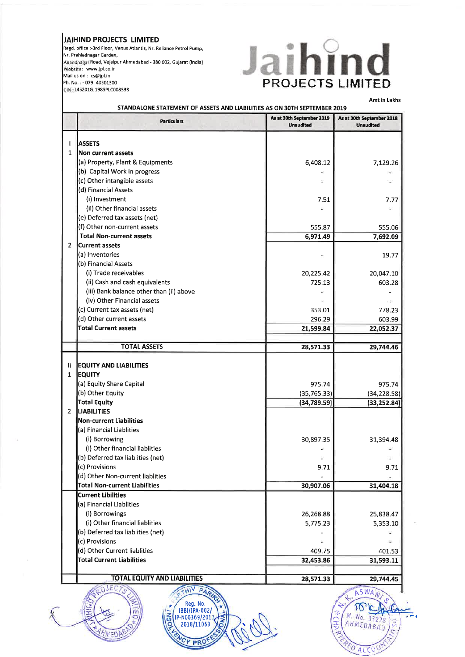### **JAIHlND PROJECTS LIMITED**

Regd. office :-3rd Floor, Venus Atlantis, Nr. Reliance Petrol Pump, Nr. Prahladnagar Garden, **Amndrtagar** Road, Vejalpur Ahmedabad - 380 002, Gujarat (India) **Website** :- www.jpl.co.in Mail us on :- cs@jpl.in Ph. No. : - 079- 40501300 **GIN,:** L45201GJ1985PLC008338



**Amt in** Lakhs

| <b>Particulars</b>                             | As at 30th September 2019<br><b>Unaudited</b> | As at 30th September 2018<br><b>Unaudited</b> |
|------------------------------------------------|-----------------------------------------------|-----------------------------------------------|
| <b>ASSETS</b><br>I                             |                                               |                                               |
| $\mathbf{1}$<br>Non current assets             |                                               |                                               |
| (a) Property, Plant & Equipments               | 6,408.12                                      | 7,129.26                                      |
| (b) Capital Work in progress                   |                                               |                                               |
| (c) Other intangible assets                    |                                               |                                               |
| (d) Financial Assets                           |                                               |                                               |
| (i) Investment                                 | 7.51                                          | 7.77                                          |
| (ii) Other financial assets                    |                                               |                                               |
| (e) Deferred tax assets (net)                  |                                               |                                               |
| (f) Other non-current assets                   | 555.87                                        | 555.06                                        |
| <b>Total Non-current assets</b>                | 6,971.49                                      | 7,692.09                                      |
| $\overline{2}$<br><b>Current assets</b>        |                                               |                                               |
| (a) Inventories                                |                                               | 19.77                                         |
| (b) Financial Assets                           |                                               |                                               |
| (i) Trade receivables                          | 20,225.42                                     | 20,047.10                                     |
| (ii) Cash and cash equivalents                 | 725.13                                        | 603.28                                        |
| (iii) Bank balance other than (ii) above       |                                               |                                               |
| (iv) Other Financial assets                    |                                               |                                               |
| (c) Current tax assets (net)                   | 353.01                                        | 778.23                                        |
| (d) Other current assets                       | 296.29                                        | 603.99                                        |
| <b>Total Current assets</b>                    | 21,599.84                                     | 22,052.37                                     |
|                                                |                                               |                                               |
| <b>TOTAL ASSETS</b>                            | 28,571.33                                     | 29,744.46                                     |
| <b>EQUITY AND LIABILITIES</b><br><b>EQUITY</b> |                                               |                                               |
| (a) Equity Share Capital                       | 975.74                                        | 975.74                                        |
| (b) Other Equity                               | (35, 765.33)                                  | (34, 228.58)                                  |
| <b>Total Equity</b>                            | (34,789.59)                                   | (33, 252.84)                                  |
| <b>LIABILITIES</b>                             |                                               |                                               |
| <b>Non-current Liabilities</b>                 |                                               |                                               |
| (a) Financial Liablities                       |                                               |                                               |
| (i) Borrowing                                  | 30,897.35                                     | 31,394.48                                     |
| (i) Other financial liablities                 |                                               |                                               |
| (b) Deferred tax liablities (net)              |                                               |                                               |
| (c) Provisions                                 | 9.71                                          | 9.71                                          |
| (d) Other Non-current liablities               |                                               |                                               |
| <b>Total Non-current Liabilities</b>           | 30,907.06                                     | 31,404.18                                     |
| <b>Current Libilities</b>                      |                                               |                                               |
| (a) Financial Liablities                       |                                               |                                               |
| (i) Borrowings                                 | 26,268.88                                     | 25,838.47                                     |
| (i) Other financial liablities                 | 5,775.23                                      | 5,353.10                                      |
| (b) Deferred tax liablities (net)              |                                               |                                               |
| (c) Provisions                                 |                                               |                                               |
| (d) Other Current liablities                   | 409.75                                        | 401.53                                        |
| <b>Total Current Liabilities</b>               | 32,453.86                                     | 31,593.11                                     |
|                                                |                                               |                                               |
| <b>TOTAL EQUITY AND LIABILITIES</b>            | 28,571.33                                     | 29,744.45                                     |
| JECTS<br>Dan                                   |                                               | ASWANT                                        |





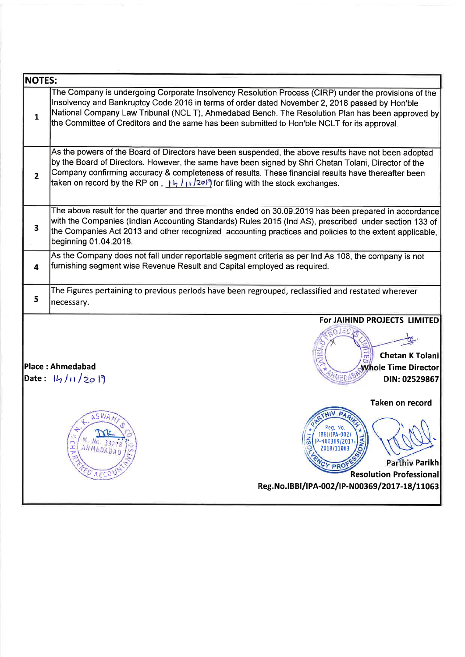| <b>NOTES:</b>           |                                                                                                                                                                                                                                                                                                                                                                                                                                        |  |  |  |  |  |  |
|-------------------------|----------------------------------------------------------------------------------------------------------------------------------------------------------------------------------------------------------------------------------------------------------------------------------------------------------------------------------------------------------------------------------------------------------------------------------------|--|--|--|--|--|--|
| $\mathbf{1}$            | The Company is undergoing Corporate Insolvency Resolution Process (CIRP) under the provisions of the<br>Insolvency and Bankruptcy Code 2016 in terms of order dated November 2, 2018 passed by Hon'ble<br>National Company Law Tribunal (NCL T), Ahmedabad Bench. The Resolution Plan has been approved by<br>the Committee of Creditors and the same has been submitted to Hon'ble NCLT for its approval.                             |  |  |  |  |  |  |
| $\overline{2}$          | As the powers of the Board of Directors have been suspended, the above results have not been adopted<br>by the Board of Directors. However, the same have been signed by Shri Chetan Tolani, Director of the<br>Company confirming accuracy & completeness of results. These financial results have thereafter been<br>taken on record by the RP on, $\frac{1}{1}$ , $\frac{1}{1}$ , $\frac{1}{2}$ or filing with the stock exchanges. |  |  |  |  |  |  |
| $\overline{\mathbf{3}}$ | The above result for the quarter and three months ended on 30.09.2019 has been prepared in accordance<br>with the Companies (Indian Accounting Standards) Rules 2015 (Ind AS), prescribed under section 133 of<br>the Companies Act 2013 and other recognized accounting practices and policies to the extent applicable,<br>beginning 01.04.2018.                                                                                     |  |  |  |  |  |  |
| 4                       | As the Company does not fall under reportable segment criteria as per Ind As 108, the company is not<br>furnishing segment wise Revenue Result and Capital employed as required.                                                                                                                                                                                                                                                       |  |  |  |  |  |  |
| 5                       | The Figures pertaining to previous periods have been regrouped, reclassified and restated wherever<br>necessary.                                                                                                                                                                                                                                                                                                                       |  |  |  |  |  |  |
|                         | For JAIHIND PROJECTS LIMITED<br>Chetan K Tolani<br><b>IPlace: Ahmedabad</b><br>Whole Time Director<br>Date: 14/11/2019<br>DIN: 02529867                                                                                                                                                                                                                                                                                                |  |  |  |  |  |  |
|                         | <b>Taken on record</b><br><b>ASWA</b><br>Reg. No.<br>IBBI/IPA-002/<br>SN<br><b>NA</b><br>IP-N00369/2017<br>No.<br><b>CHARD</b><br>AHMEDABAD<br>2018/11063<br>Parthiv Parikh<br>CY PRO<br><b>DACCOU</b><br><b>Resolution Professional</b>                                                                                                                                                                                               |  |  |  |  |  |  |
|                         | Reg.No.IBBI/IPA-002/IP-N00369/2017-18/11063                                                                                                                                                                                                                                                                                                                                                                                            |  |  |  |  |  |  |

 $-1$ 

+'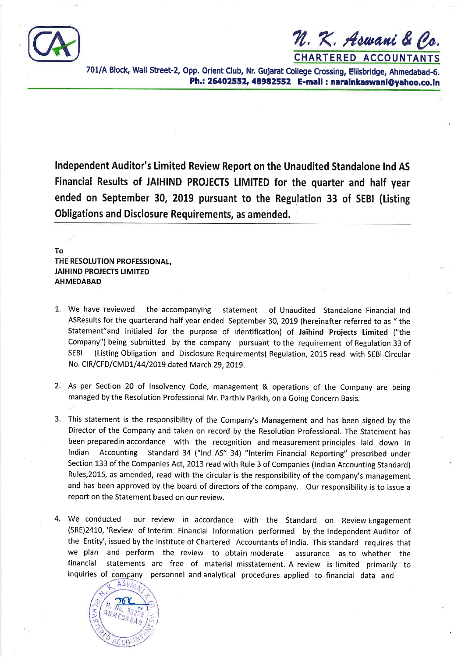

N. K. Aswani & Co. **CHARTERED ACCOUNTANTS** 

701/A Block, Wall Street-2, Opp. Orient Club, Nr. Gujarat College Crossing, Ellisbridge, Ahmedabad-6. **Ph.: 26402552,48982552 E-mall** : **naralnkaswanlOyahoo.co.ln** 

**lndependent Auditor's Limited Review Report on the Unaudited Standalone Ind AS Financial Results of JAlHlND PROJECTS LIMITED for the quarter and half year ended on September 30, 2019 pursuant to the Regulation 33 of SEBl (Listing Obligations and Disclosure Requirements, as amended.** 

# **To THE RESOLUTION PROFESSIONAL, JAlHlND PROJECTS LIMITED AHMEDABAD**

- 1. We have reviewed the accompanying statement of Unaudited Standalone Financial Ind ASResults for the quarterand half year ended September 30, 2019 (hereinafter referred to as " the Statement"and initialed for the purpose of identification) of Jaihind Projects Limited ("the Company") being submitted by the company pursuant to the requirement of Regulation 33 of SEBl (Listing Obligation and Disclosure Requirements) Regulation, 2015 read with SEBl Circular No. ClR/CFD/CMDl/44/2019 dated March 29,2019.
- 2. As per Section 20 of Insolvency Code, management & operations of the Company are being managed by the Resolution Professional Mr. Parthiv Parikh, on a Going Concern Basis.
- 3. This statement is the responsibility of the Company's Management and has been signed by the Director of the Company and taken on record by the Resolution Professional. The Statement has been preparedin accordance with the recognition and measurement principles laid down in Indian Accounting Standard 34 ("lnd AS" 34) "lnterim Financial Reporting" prescribed under Section 133 of the Companies Act, 2013 read with Rule 3 of Companies (Indian Accounting Standard) Rules,2015, as amended, read with the circular is the responsibility of the company's management and has been approved by the board of directors of the company. Our responsibility is to issue a report on the Statement based on our review.
- 4. We conducted our review in accordance with the Standard on ReviewEngagement (SRE)2410, 'Review of Interim Financial Information performed by the lndependent Auditor of the Entity', issued by the Institute of Chartered Accountants of India. This standard requires that we plan and perform the review to obtain moderate assurance as to whether the financial statements are free of material misstatement. A review is limited primarily to inquiries of company personnel and analytical procedures applied to financial data and

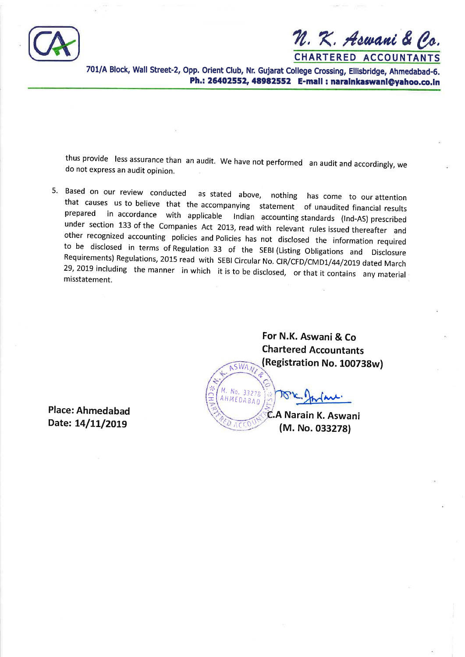

%. **X. Adclaed** & **6.** 

**CHARTERED ACCOUNTANTS** 

**701/A Block, Wall Street-2, Opp. Orient Club, Nr. Gujarat College Crossing, Ellisbridge, Ahmedabad-6. Ph.: 26402552,48982552 E-mall** : **naralnkaswanl@yahoo.co.ln** 

thus provide less assurance than an audit. We have not performed an audit and accordingly, we do not express an audit opinion.

5. Based on our review conducted as stated above, nothing has come to our attention that causes us to believe that the accompanying statement of unaudited financial results prepared in accordance with applicable Indian accounting standards (Ind-AS) prescribed under section 133 of the Companies Act 2013, read with relevant rules issued thereafter and other recognized accounting policies and Policies has not disclosed the information required to be disclosed in terms of Regulation 33 of the SEBI (Listing Obligations and Disclosure Requirements) Regulations, 2015 read with SEBI Circular **No.** CIR/CFD/CMD1/44/2019 dated March 29, 2019 including the manner in which it is to be disclosed, or that it contains any material misstatement.

 $S$   $M_A$ 

**For N.K. Aswani** & **Co Chartered Accountants (Registration No. 1007** 

 $-332$ MEDABAN **C.A Narain K. Aswani** .' c rns' (M, **No. 033278)** 

**Place: Ahmedabad Date: 14/11/2019**